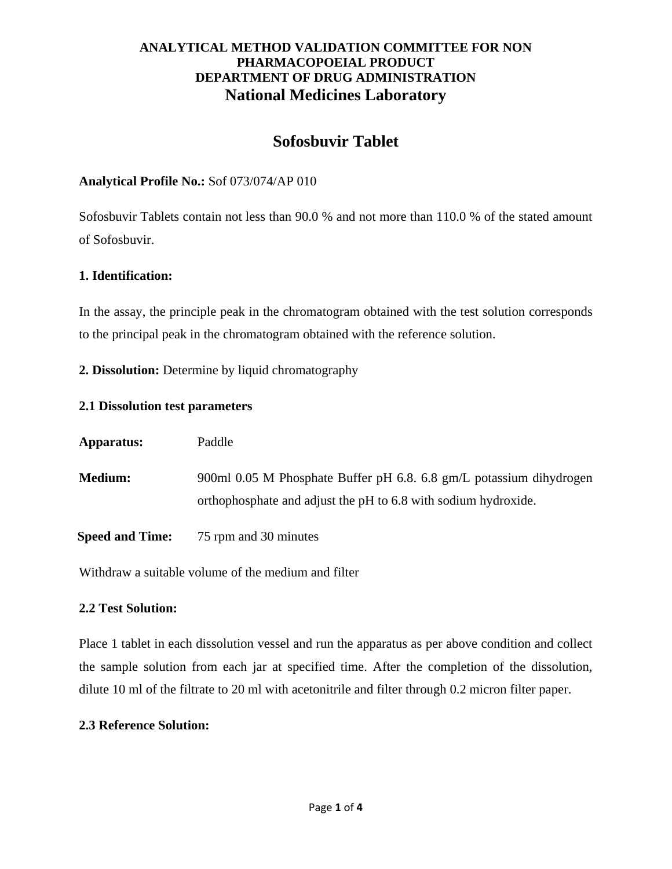# **Sofosbuvir Tablet**

### **Analytical Profile No.:** Sof 073/074/AP 010

Sofosbuvir Tablets contain not less than 90.0 % and not more than 110.0 % of the stated amount of Sofosbuvir.

### **1. Identification:**

In the assay, the principle peak in the chromatogram obtained with the test solution corresponds to the principal peak in the chromatogram obtained with the reference solution.

**2. Dissolution:** Determine by liquid chromatography

### **2.1 Dissolution test parameters**

| Apparatus:             | Paddle                                                                                                                                |
|------------------------|---------------------------------------------------------------------------------------------------------------------------------------|
| <b>Medium:</b>         | 900ml 0.05 M Phosphate Buffer pH 6.8. 6.8 gm/L potassium dihydrogen<br>orthophosphate and adjust the pH to 6.8 with sodium hydroxide. |
| <b>Speed and Time:</b> | 75 rpm and 30 minutes                                                                                                                 |

Withdraw a suitable volume of the medium and filter

### **2.2 Test Solution:**

Place 1 tablet in each dissolution vessel and run the apparatus as per above condition and collect the sample solution from each jar at specified time. After the completion of the dissolution, dilute 10 ml of the filtrate to 20 ml with acetonitrile and filter through 0.2 micron filter paper.

### **2.3 Reference Solution:**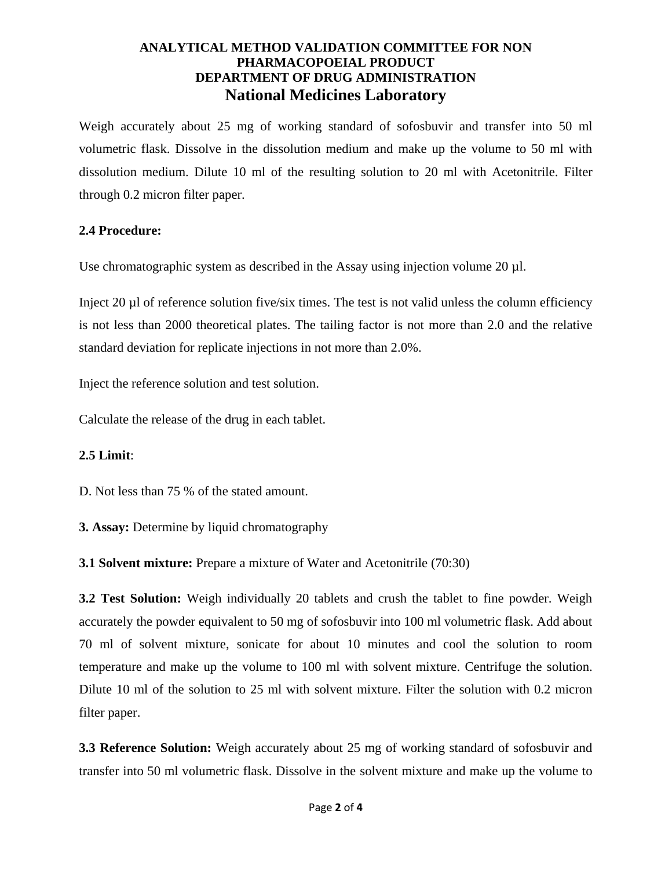Weigh accurately about 25 mg of working standard of sofosbuvir and transfer into 50 ml volumetric flask. Dissolve in the dissolution medium and make up the volume to 50 ml with dissolution medium. Dilute 10 ml of the resulting solution to 20 ml with Acetonitrile. Filter through 0.2 micron filter paper.

### **2.4 Procedure:**

Use chromatographic system as described in the Assay using injection volume  $20 \mu$ .

Inject 20 µl of reference solution five/six times. The test is not valid unless the column efficiency is not less than 2000 theoretical plates. The tailing factor is not more than 2.0 and the relative standard deviation for replicate injections in not more than 2.0%.

Inject the reference solution and test solution.

Calculate the release of the drug in each tablet.

### **2.5 Limit**:

D. Not less than 75 % of the stated amount.

**3. Assay:** Determine by liquid chromatography

**3.1 Solvent mixture:** Prepare a mixture of Water and Acetonitrile (70:30)

**3.2 Test Solution:** Weigh individually 20 tablets and crush the tablet to fine powder. Weigh accurately the powder equivalent to 50 mg of sofosbuvir into 100 ml volumetric flask. Add about 70 ml of solvent mixture, sonicate for about 10 minutes and cool the solution to room temperature and make up the volume to 100 ml with solvent mixture. Centrifuge the solution. Dilute 10 ml of the solution to 25 ml with solvent mixture. Filter the solution with 0.2 micron filter paper.

**3.3 Reference Solution:** Weigh accurately about 25 mg of working standard of sofosbuvir and transfer into 50 ml volumetric flask. Dissolve in the solvent mixture and make up the volume to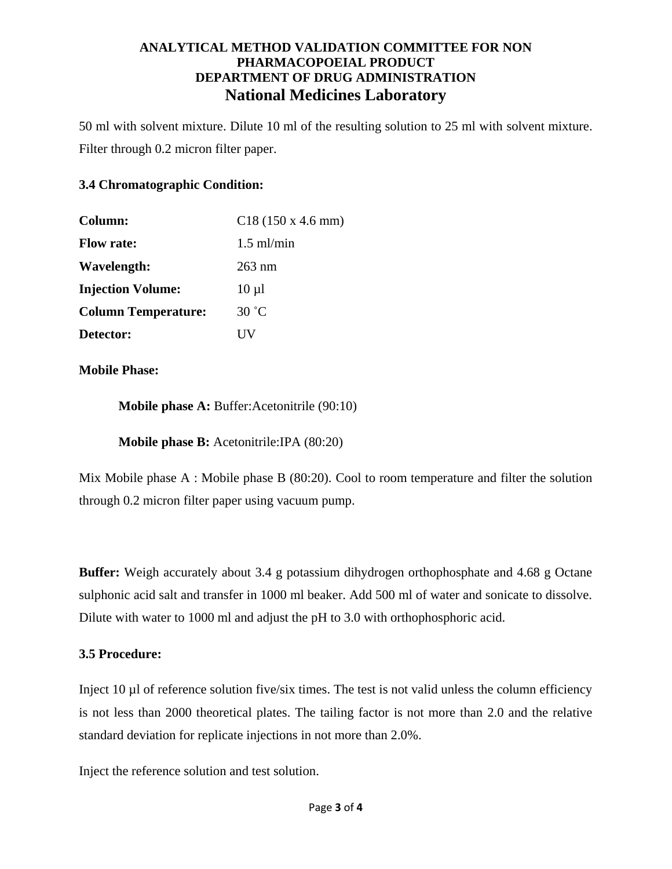50 ml with solvent mixture. Dilute 10 ml of the resulting solution to 25 ml with solvent mixture. Filter through 0.2 micron filter paper.

### **3.4 Chromatographic Condition:**

| Column:                    | $C18(150 \times 4.6 \text{ mm})$ |
|----------------------------|----------------------------------|
| <b>Flow rate:</b>          | $1.5$ ml/min                     |
| Wavelength:                | $263 \text{ nm}$                 |
| <b>Injection Volume:</b>   | $10 \mu l$                       |
| <b>Column Temperature:</b> | 30 °C                            |
| Detector:                  |                                  |

**Mobile Phase:**

**Mobile phase A:** Buffer:Acetonitrile (90:10)

**Mobile phase B:** Acetonitrile:IPA (80:20)

Mix Mobile phase A : Mobile phase B (80:20). Cool to room temperature and filter the solution through 0.2 micron filter paper using vacuum pump.

**Buffer:** Weigh accurately about 3.4 g potassium dihydrogen orthophosphate and 4.68 g Octane sulphonic acid salt and transfer in 1000 ml beaker. Add 500 ml of water and sonicate to dissolve. Dilute with water to 1000 ml and adjust the pH to 3.0 with orthophosphoric acid.

### **3.5 Procedure:**

Inject 10 ul of reference solution five/six times. The test is not valid unless the column efficiency is not less than 2000 theoretical plates. The tailing factor is not more than 2.0 and the relative standard deviation for replicate injections in not more than 2.0%.

Inject the reference solution and test solution.